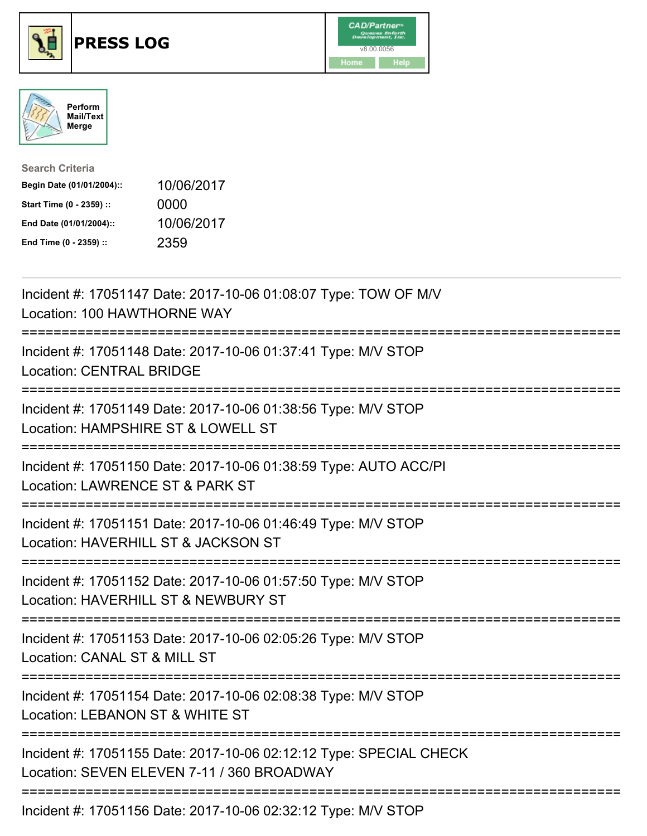





| <b>Search Criteria</b>    |            |
|---------------------------|------------|
| Begin Date (01/01/2004):: | 10/06/2017 |
| Start Time (0 - 2359) ::  | 0000       |
| End Date (01/01/2004)::   | 10/06/2017 |
| End Time (0 - 2359) ::    | 2359       |

| Incident #: 17051147 Date: 2017-10-06 01:08:07 Type: TOW OF M/V<br>Location: 100 HAWTHORNE WAY                                                      |
|-----------------------------------------------------------------------------------------------------------------------------------------------------|
| Incident #: 17051148 Date: 2017-10-06 01:37:41 Type: M/V STOP<br><b>Location: CENTRAL BRIDGE</b>                                                    |
| Incident #: 17051149 Date: 2017-10-06 01:38:56 Type: M/V STOP<br>Location: HAMPSHIRE ST & LOWELL ST                                                 |
| Incident #: 17051150 Date: 2017-10-06 01:38:59 Type: AUTO ACC/PI<br>Location: LAWRENCE ST & PARK ST<br>------------                                 |
| Incident #: 17051151 Date: 2017-10-06 01:46:49 Type: M/V STOP<br>Location: HAVERHILL ST & JACKSON ST<br>:========================                   |
| Incident #: 17051152 Date: 2017-10-06 01:57:50 Type: M/V STOP<br>Location: HAVERHILL ST & NEWBURY ST                                                |
| Incident #: 17051153 Date: 2017-10-06 02:05:26 Type: M/V STOP<br>Location: CANAL ST & MILL ST<br>=========================                          |
| Incident #: 17051154 Date: 2017-10-06 02:08:38 Type: M/V STOP<br>Location: LEBANON ST & WHITE ST<br>:==========================<br>================ |
| Incident #: 17051155 Date: 2017-10-06 02:12:12 Type: SPECIAL CHECK<br>Location: SEVEN ELEVEN 7-11 / 360 BROADWAY                                    |
| Incident #: 17051156 Date: 2017-10-06 02:32:12 Type: M/V STOP                                                                                       |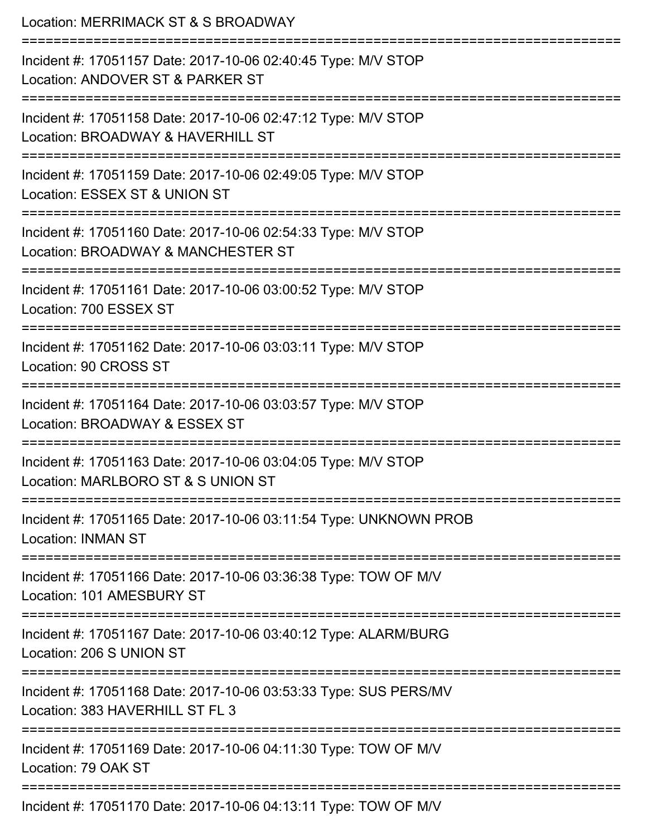| Location: MERRIMACK ST & S BROADWAY                                                                             |
|-----------------------------------------------------------------------------------------------------------------|
| Incident #: 17051157 Date: 2017-10-06 02:40:45 Type: M/V STOP<br>Location: ANDOVER ST & PARKER ST               |
| Incident #: 17051158 Date: 2017-10-06 02:47:12 Type: M/V STOP<br>Location: BROADWAY & HAVERHILL ST              |
| Incident #: 17051159 Date: 2017-10-06 02:49:05 Type: M/V STOP<br>Location: ESSEX ST & UNION ST                  |
| Incident #: 17051160 Date: 2017-10-06 02:54:33 Type: M/V STOP<br>Location: BROADWAY & MANCHESTER ST             |
| Incident #: 17051161 Date: 2017-10-06 03:00:52 Type: M/V STOP<br>Location: 700 ESSEX ST                         |
| Incident #: 17051162 Date: 2017-10-06 03:03:11 Type: M/V STOP<br>Location: 90 CROSS ST<br>--------------------- |
| Incident #: 17051164 Date: 2017-10-06 03:03:57 Type: M/V STOP<br>Location: BROADWAY & ESSEX ST                  |
| Incident #: 17051163 Date: 2017-10-06 03:04:05 Type: M/V STOP<br>Location: MARLBORO ST & S UNION ST             |
| Incident #: 17051165 Date: 2017-10-06 03:11:54 Type: UNKNOWN PROB<br><b>Location: INMAN ST</b>                  |
| Incident #: 17051166 Date: 2017-10-06 03:36:38 Type: TOW OF M/V<br>Location: 101 AMESBURY ST                    |
| Incident #: 17051167 Date: 2017-10-06 03:40:12 Type: ALARM/BURG<br>Location: 206 S UNION ST                     |
| Incident #: 17051168 Date: 2017-10-06 03:53:33 Type: SUS PERS/MV<br>Location: 383 HAVERHILL ST FL 3             |
| Incident #: 17051169 Date: 2017-10-06 04:11:30 Type: TOW OF M/V<br>Location: 79 OAK ST                          |
|                                                                                                                 |

Incident #: 17051170 Date: 2017-10-06 04:13:11 Type: TOW OF M/V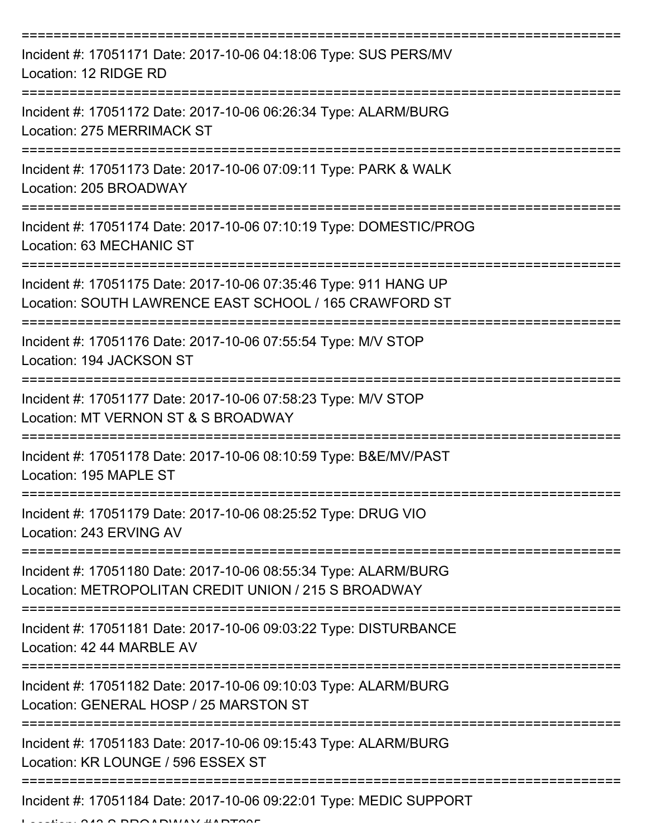| Incident #: 17051171 Date: 2017-10-06 04:18:06 Type: SUS PERS/MV<br>Location: 12 RIDGE RD                                  |
|----------------------------------------------------------------------------------------------------------------------------|
| Incident #: 17051172 Date: 2017-10-06 06:26:34 Type: ALARM/BURG<br>Location: 275 MERRIMACK ST                              |
| Incident #: 17051173 Date: 2017-10-06 07:09:11 Type: PARK & WALK<br>Location: 205 BROADWAY                                 |
| Incident #: 17051174 Date: 2017-10-06 07:10:19 Type: DOMESTIC/PROG<br>Location: 63 MECHANIC ST                             |
| Incident #: 17051175 Date: 2017-10-06 07:35:46 Type: 911 HANG UP<br>Location: SOUTH LAWRENCE EAST SCHOOL / 165 CRAWFORD ST |
| Incident #: 17051176 Date: 2017-10-06 07:55:54 Type: M/V STOP<br>Location: 194 JACKSON ST                                  |
| Incident #: 17051177 Date: 2017-10-06 07:58:23 Type: M/V STOP<br>Location: MT VERNON ST & S BROADWAY                       |
| Incident #: 17051178 Date: 2017-10-06 08:10:59 Type: B&E/MV/PAST<br>Location: 195 MAPLE ST                                 |
| Incident #: 17051179 Date: 2017-10-06 08:25:52 Type: DRUG VIO<br>Location: 243 ERVING AV                                   |
| Incident #: 17051180 Date: 2017-10-06 08:55:34 Type: ALARM/BURG<br>Location: METROPOLITAN CREDIT UNION / 215 S BROADWAY    |
| Incident #: 17051181 Date: 2017-10-06 09:03:22 Type: DISTURBANCE<br>Location: 42 44 MARBLE AV                              |
| Incident #: 17051182 Date: 2017-10-06 09:10:03 Type: ALARM/BURG<br>Location: GENERAL HOSP / 25 MARSTON ST                  |
| Incident #: 17051183 Date: 2017-10-06 09:15:43 Type: ALARM/BURG<br>Location: KR LOUNGE / 596 ESSEX ST                      |
| Incident #: 17051184 Date: 2017-10-06 09:22:01 Type: MEDIC SUPPORT                                                         |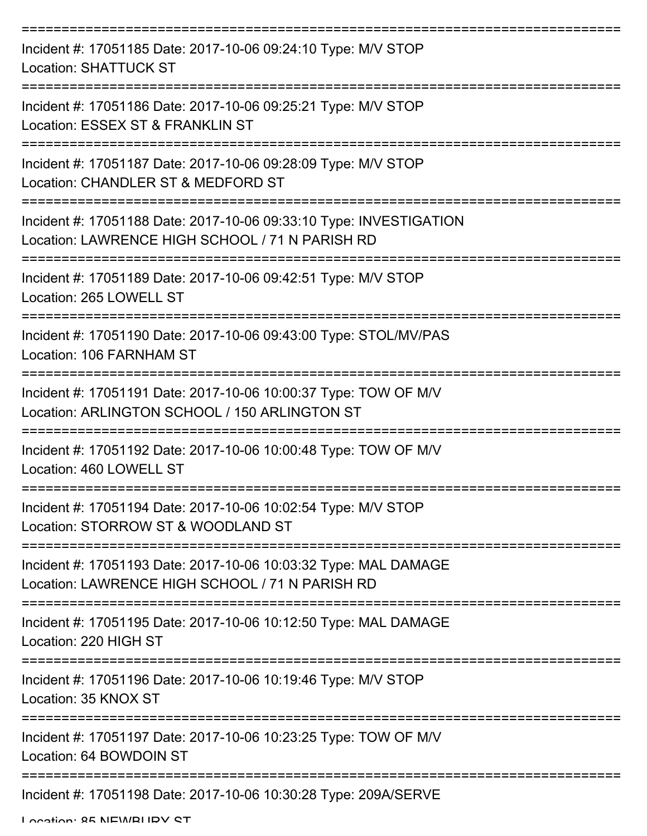| Incident #: 17051185 Date: 2017-10-06 09:24:10 Type: M/V STOP<br><b>Location: SHATTUCK ST</b>                         |
|-----------------------------------------------------------------------------------------------------------------------|
| Incident #: 17051186 Date: 2017-10-06 09:25:21 Type: M/V STOP<br>Location: ESSEX ST & FRANKLIN ST                     |
| Incident #: 17051187 Date: 2017-10-06 09:28:09 Type: M/V STOP<br>Location: CHANDLER ST & MEDFORD ST                   |
| Incident #: 17051188 Date: 2017-10-06 09:33:10 Type: INVESTIGATION<br>Location: LAWRENCE HIGH SCHOOL / 71 N PARISH RD |
| Incident #: 17051189 Date: 2017-10-06 09:42:51 Type: M/V STOP<br>Location: 265 LOWELL ST                              |
| Incident #: 17051190 Date: 2017-10-06 09:43:00 Type: STOL/MV/PAS<br>Location: 106 FARNHAM ST                          |
| Incident #: 17051191 Date: 2017-10-06 10:00:37 Type: TOW OF M/V<br>Location: ARLINGTON SCHOOL / 150 ARLINGTON ST      |
| Incident #: 17051192 Date: 2017-10-06 10:00:48 Type: TOW OF M/V<br>Location: 460 LOWELL ST                            |
| Incident #: 17051194 Date: 2017-10-06 10:02:54 Type: M/V STOP<br>Location: STORROW ST & WOODLAND ST                   |
| Incident #: 17051193 Date: 2017-10-06 10:03:32 Type: MAL DAMAGE<br>Location: LAWRENCE HIGH SCHOOL / 71 N PARISH RD    |
| Incident #: 17051195 Date: 2017-10-06 10:12:50 Type: MAL DAMAGE<br>Location: 220 HIGH ST                              |
| Incident #: 17051196 Date: 2017-10-06 10:19:46 Type: M/V STOP<br>Location: 35 KNOX ST                                 |
| Incident #: 17051197 Date: 2017-10-06 10:23:25 Type: TOW OF M/V<br>Location: 64 BOWDOIN ST                            |
| Incident #: 17051198 Date: 2017-10-06 10:30:28 Type: 209A/SERVE                                                       |

Location: 85 NEWBURY ST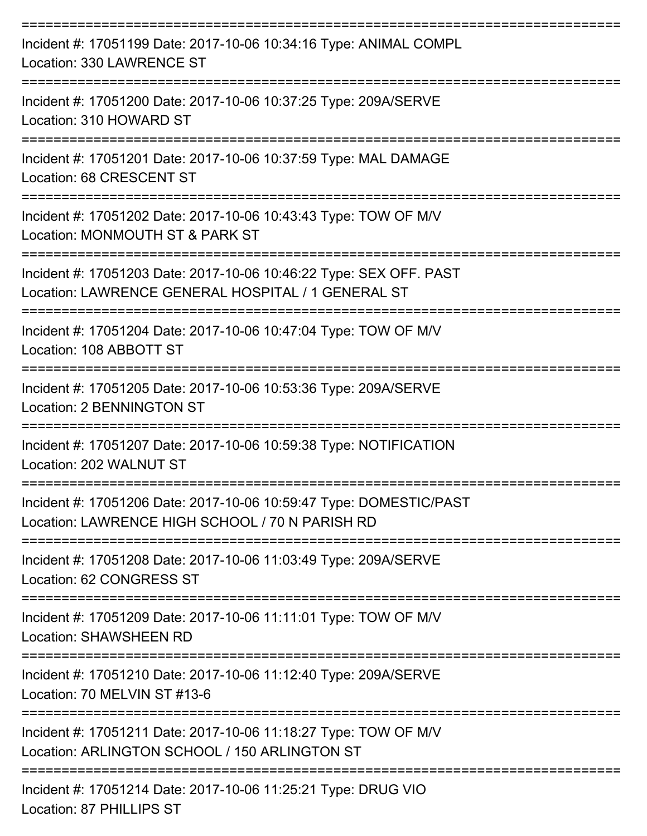| Incident #: 17051199 Date: 2017-10-06 10:34:16 Type: ANIMAL COMPL<br>Location: 330 LAWRENCE ST                           |
|--------------------------------------------------------------------------------------------------------------------------|
| Incident #: 17051200 Date: 2017-10-06 10:37:25 Type: 209A/SERVE<br>Location: 310 HOWARD ST                               |
| Incident #: 17051201 Date: 2017-10-06 10:37:59 Type: MAL DAMAGE<br>Location: 68 CRESCENT ST                              |
| Incident #: 17051202 Date: 2017-10-06 10:43:43 Type: TOW OF M/V<br>Location: MONMOUTH ST & PARK ST                       |
| Incident #: 17051203 Date: 2017-10-06 10:46:22 Type: SEX OFF. PAST<br>Location: LAWRENCE GENERAL HOSPITAL / 1 GENERAL ST |
| :===================<br>Incident #: 17051204 Date: 2017-10-06 10:47:04 Type: TOW OF M/V<br>Location: 108 ABBOTT ST       |
| Incident #: 17051205 Date: 2017-10-06 10:53:36 Type: 209A/SERVE<br><b>Location: 2 BENNINGTON ST</b>                      |
| Incident #: 17051207 Date: 2017-10-06 10:59:38 Type: NOTIFICATION<br>Location: 202 WAI NUT ST                            |
| Incident #: 17051206 Date: 2017-10-06 10:59:47 Type: DOMESTIC/PAST<br>Location: LAWRENCE HIGH SCHOOL / 70 N PARISH RD    |
| Incident #: 17051208 Date: 2017-10-06 11:03:49 Type: 209A/SERVE<br>Location: 62 CONGRESS ST                              |
| Incident #: 17051209 Date: 2017-10-06 11:11:01 Type: TOW OF M/V<br><b>Location: SHAWSHEEN RD</b>                         |
| Incident #: 17051210 Date: 2017-10-06 11:12:40 Type: 209A/SERVE<br>Location: 70 MELVIN ST #13-6                          |
| Incident #: 17051211 Date: 2017-10-06 11:18:27 Type: TOW OF M/V<br>Location: ARLINGTON SCHOOL / 150 ARLINGTON ST         |
| Incident #: 17051214 Date: 2017-10-06 11:25:21 Type: DRUG VIO<br>Location: 87 PHILLIPS ST                                |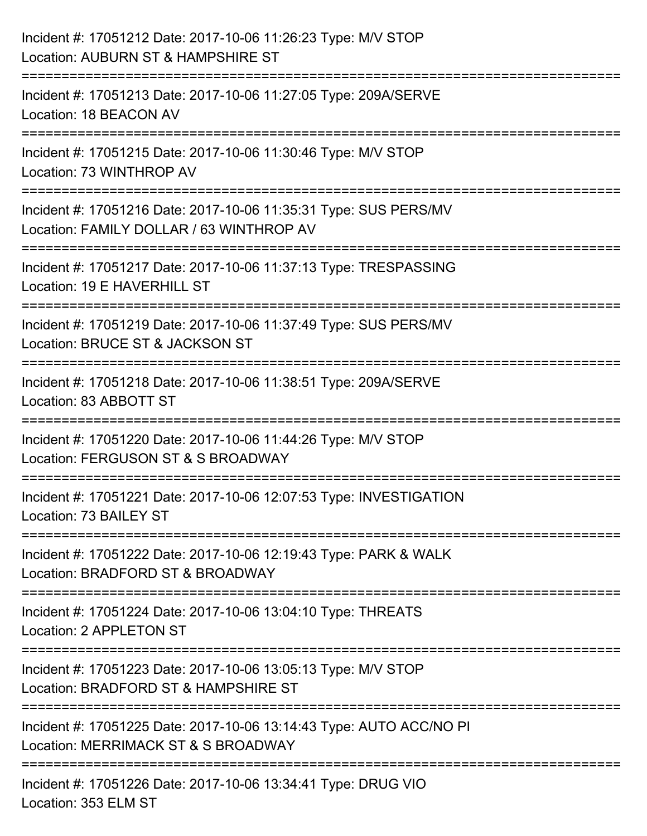| Incident #: 17051212 Date: 2017-10-06 11:26:23 Type: M/V STOP<br>Location: AUBURN ST & HAMPSHIRE ST                                    |
|----------------------------------------------------------------------------------------------------------------------------------------|
| ;=========================<br>Incident #: 17051213 Date: 2017-10-06 11:27:05 Type: 209A/SERVE<br>Location: 18 BEACON AV                |
| Incident #: 17051215 Date: 2017-10-06 11:30:46 Type: M/V STOP<br>Location: 73 WINTHROP AV<br>================================          |
| Incident #: 17051216 Date: 2017-10-06 11:35:31 Type: SUS PERS/MV<br>Location: FAMILY DOLLAR / 63 WINTHROP AV<br>====================== |
| Incident #: 17051217 Date: 2017-10-06 11:37:13 Type: TRESPASSING<br>Location: 19 E HAVERHILL ST                                        |
| Incident #: 17051219 Date: 2017-10-06 11:37:49 Type: SUS PERS/MV<br>Location: BRUCE ST & JACKSON ST                                    |
| :====================<br>Incident #: 17051218 Date: 2017-10-06 11:38:51 Type: 209A/SERVE<br>Location: 83 ABBOTT ST                     |
| Incident #: 17051220 Date: 2017-10-06 11:44:26 Type: M/V STOP<br>Location: FERGUSON ST & S BROADWAY                                    |
| Incident #: 17051221 Date: 2017-10-06 12:07:53 Type: INVESTIGATION<br>Location: 73 BAILEY ST                                           |
| Incident #: 17051222 Date: 2017-10-06 12:19:43 Type: PARK & WALK<br>Location: BRADFORD ST & BROADWAY                                   |
| Incident #: 17051224 Date: 2017-10-06 13:04:10 Type: THREATS<br>Location: 2 APPLETON ST                                                |
| Incident #: 17051223 Date: 2017-10-06 13:05:13 Type: M/V STOP<br>Location: BRADFORD ST & HAMPSHIRE ST                                  |
| Incident #: 17051225 Date: 2017-10-06 13:14:43 Type: AUTO ACC/NO PI<br>Location: MERRIMACK ST & S BROADWAY                             |
| Incident #: 17051226 Date: 2017-10-06 13:34:41 Type: DRUG VIO<br>Location: 353 ELM ST                                                  |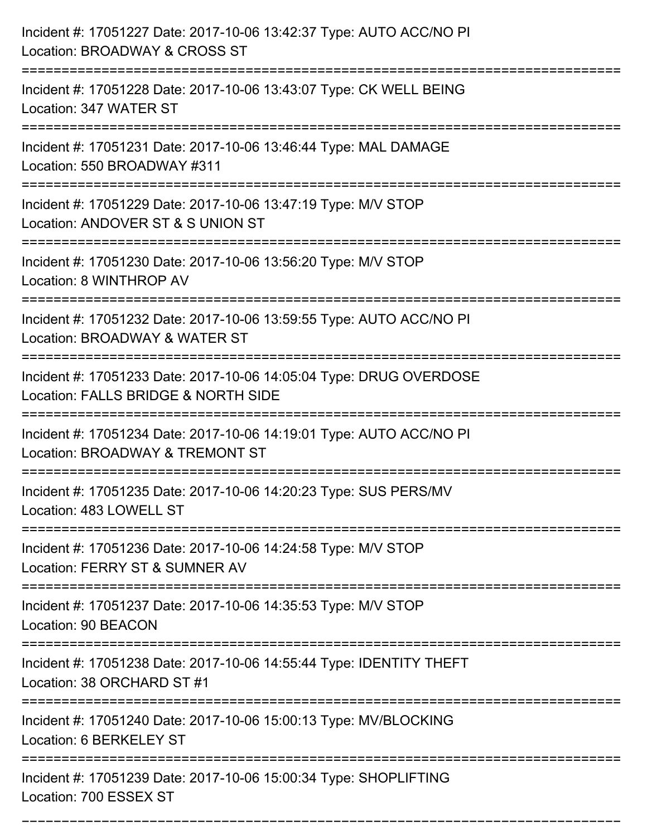| Incident #: 17051227 Date: 2017-10-06 13:42:37 Type: AUTO ACC/NO PI<br>Location: BROADWAY & CROSS ST                                   |
|----------------------------------------------------------------------------------------------------------------------------------------|
| Incident #: 17051228 Date: 2017-10-06 13:43:07 Type: CK WELL BEING<br>Location: 347 WATER ST                                           |
| Incident #: 17051231 Date: 2017-10-06 13:46:44 Type: MAL DAMAGE<br>Location: 550 BROADWAY #311<br>:==============================      |
| Incident #: 17051229 Date: 2017-10-06 13:47:19 Type: M/V STOP<br>Location: ANDOVER ST & S UNION ST                                     |
| Incident #: 17051230 Date: 2017-10-06 13:56:20 Type: M/V STOP<br>Location: 8 WINTHROP AV                                               |
| Incident #: 17051232 Date: 2017-10-06 13:59:55 Type: AUTO ACC/NO PI<br>Location: BROADWAY & WATER ST                                   |
| Incident #: 17051233 Date: 2017-10-06 14:05:04 Type: DRUG OVERDOSE<br>Location: FALLS BRIDGE & NORTH SIDE                              |
| Incident #: 17051234 Date: 2017-10-06 14:19:01 Type: AUTO ACC/NO PI<br>Location: BROADWAY & TREMONT ST                                 |
| Incident #: 17051235 Date: 2017-10-06 14:20:23 Type: SUS PERS/MV<br>Location: 483 LOWELL ST                                            |
| Incident #: 17051236 Date: 2017-10-06 14:24:58 Type: M/V STOP<br>Location: FERRY ST & SUMNER AV<br>=================================== |
| Incident #: 17051237 Date: 2017-10-06 14:35:53 Type: M/V STOP<br>Location: 90 BEACON                                                   |
| Incident #: 17051238 Date: 2017-10-06 14:55:44 Type: IDENTITY THEFT<br>Location: 38 ORCHARD ST #1                                      |
| Incident #: 17051240 Date: 2017-10-06 15:00:13 Type: MV/BLOCKING<br>Location: 6 BERKELEY ST                                            |
| Incident #: 17051239 Date: 2017-10-06 15:00:34 Type: SHOPLIFTING<br>Location: 700 ESSEX ST                                             |

===========================================================================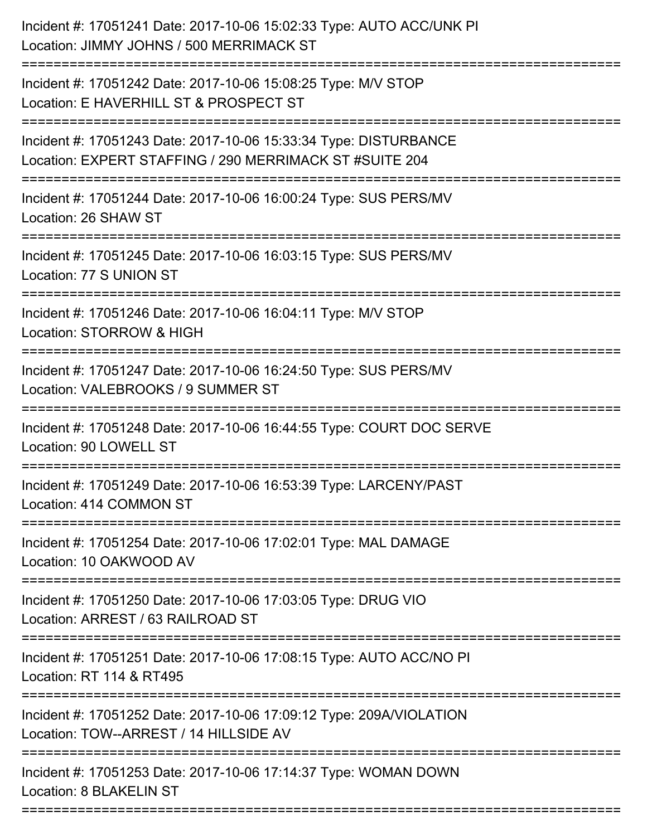| Incident #: 17051242 Date: 2017-10-06 15:08:25 Type: M/V STOP<br>Location: E HAVERHILL ST & PROSPECT ST<br>Incident #: 17051243 Date: 2017-10-06 15:33:34 Type: DISTURBANCE<br>Location: EXPERT STAFFING / 290 MERRIMACK ST #SUITE 204<br>Incident #: 17051244 Date: 2017-10-06 16:00:24 Type: SUS PERS/MV<br>Location: 26 SHAW ST<br>Incident #: 17051245 Date: 2017-10-06 16:03:15 Type: SUS PERS/MV<br>Location: 77 S UNION ST |
|-----------------------------------------------------------------------------------------------------------------------------------------------------------------------------------------------------------------------------------------------------------------------------------------------------------------------------------------------------------------------------------------------------------------------------------|
|                                                                                                                                                                                                                                                                                                                                                                                                                                   |
|                                                                                                                                                                                                                                                                                                                                                                                                                                   |
|                                                                                                                                                                                                                                                                                                                                                                                                                                   |
|                                                                                                                                                                                                                                                                                                                                                                                                                                   |
| Incident #: 17051246 Date: 2017-10-06 16:04:11 Type: M/V STOP<br>Location: STORROW & HIGH                                                                                                                                                                                                                                                                                                                                         |
| Incident #: 17051247 Date: 2017-10-06 16:24:50 Type: SUS PERS/MV<br>Location: VALEBROOKS / 9 SUMMER ST                                                                                                                                                                                                                                                                                                                            |
| Incident #: 17051248 Date: 2017-10-06 16:44:55 Type: COURT DOC SERVE<br>Location: 90 LOWELL ST                                                                                                                                                                                                                                                                                                                                    |
| Incident #: 17051249 Date: 2017-10-06 16:53:39 Type: LARCENY/PAST<br>Location: 414 COMMON ST                                                                                                                                                                                                                                                                                                                                      |
| Incident #: 17051254 Date: 2017-10-06 17:02:01 Type: MAL DAMAGE<br>Location: 10 OAKWOOD AV<br>---------------------------                                                                                                                                                                                                                                                                                                         |
| Incident #: 17051250 Date: 2017-10-06 17:03:05 Type: DRUG VIO<br>Location: ARREST / 63 RAILROAD ST                                                                                                                                                                                                                                                                                                                                |
| Incident #: 17051251 Date: 2017-10-06 17:08:15 Type: AUTO ACC/NO PI<br>Location: RT 114 & RT495                                                                                                                                                                                                                                                                                                                                   |
| Incident #: 17051252 Date: 2017-10-06 17:09:12 Type: 209A/VIOLATION<br>Location: TOW--ARREST / 14 HILLSIDE AV                                                                                                                                                                                                                                                                                                                     |
| Incident #: 17051253 Date: 2017-10-06 17:14:37 Type: WOMAN DOWN<br>Location: 8 BLAKELIN ST                                                                                                                                                                                                                                                                                                                                        |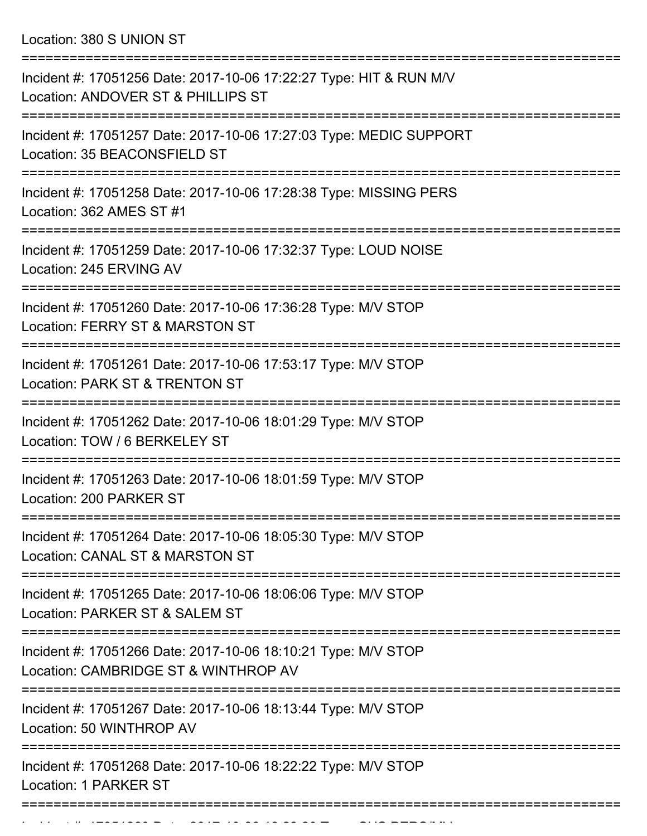Location: 380 S UNION ST

| Incident #: 17051256 Date: 2017-10-06 17:22:27 Type: HIT & RUN M/V<br>Location: ANDOVER ST & PHILLIPS ST                      |
|-------------------------------------------------------------------------------------------------------------------------------|
| Incident #: 17051257 Date: 2017-10-06 17:27:03 Type: MEDIC SUPPORT<br>Location: 35 BEACONSFIELD ST                            |
| Incident #: 17051258 Date: 2017-10-06 17:28:38 Type: MISSING PERS<br>Location: 362 AMES ST #1                                 |
| Incident #: 17051259 Date: 2017-10-06 17:32:37 Type: LOUD NOISE<br>Location: 245 ERVING AV                                    |
| Incident #: 17051260 Date: 2017-10-06 17:36:28 Type: M/V STOP<br>Location: FERRY ST & MARSTON ST                              |
| Incident #: 17051261 Date: 2017-10-06 17:53:17 Type: M/V STOP<br>Location: PARK ST & TRENTON ST                               |
| Incident #: 17051262 Date: 2017-10-06 18:01:29 Type: M/V STOP<br>Location: TOW / 6 BERKELEY ST                                |
| Incident #: 17051263 Date: 2017-10-06 18:01:59 Type: M/V STOP<br>Location: 200 PARKER ST                                      |
| ==============<br>Incident #: 17051264 Date: 2017-10-06 18:05:30 Type: M/V STOP<br><b>Location: CANAL ST &amp; MARSTON ST</b> |
| Incident #: 17051265 Date: 2017-10-06 18:06:06 Type: M/V STOP<br>Location: PARKER ST & SALEM ST                               |
| Incident #: 17051266 Date: 2017-10-06 18:10:21 Type: M/V STOP<br>Location: CAMBRIDGE ST & WINTHROP AV                         |
| Incident #: 17051267 Date: 2017-10-06 18:13:44 Type: M/V STOP<br>Location: 50 WINTHROP AV                                     |
| Incident #: 17051268 Date: 2017-10-06 18:22:22 Type: M/V STOP<br>Location: 1 PARKER ST                                        |
|                                                                                                                               |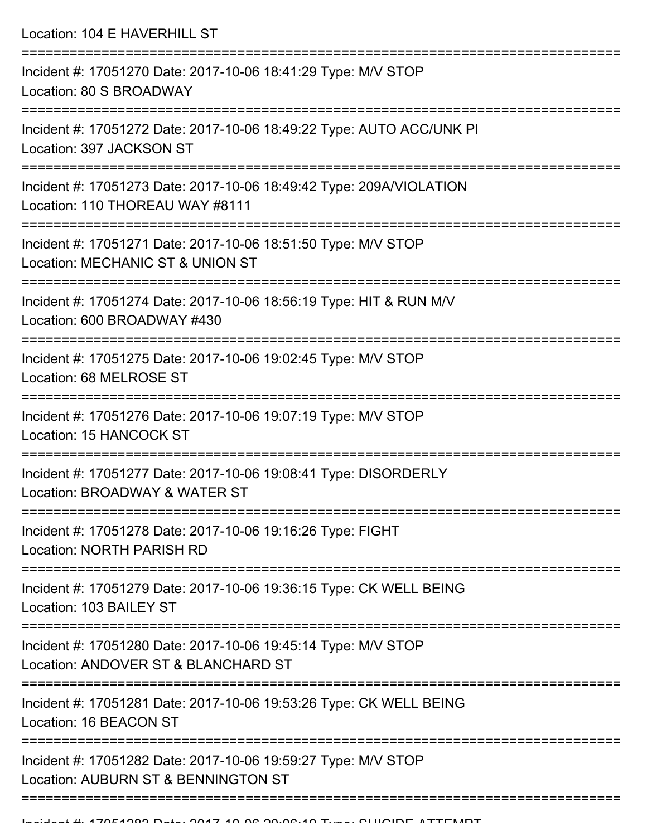Location: 104 E HAVERHILL ST =========================================================================== Incident #: 17051270 Date: 2017-10-06 18:41:29 Type: M/V STOP Location: 80 S BROADWAY =========================================================================== Incident #: 17051272 Date: 2017-10-06 18:49:22 Type: AUTO ACC/UNK PI Location: 397 JACKSON ST =========================================================================== Incident #: 17051273 Date: 2017-10-06 18:49:42 Type: 209A/VIOLATION Location: 110 THOREAU WAY #8111 =========================================================================== Incident #: 17051271 Date: 2017-10-06 18:51:50 Type: M/V STOP Location: MECHANIC ST & UNION ST =========================================================================== Incident #: 17051274 Date: 2017-10-06 18:56:19 Type: HIT & RUN M/V Location: 600 BROADWAY #430 =========================================================================== Incident #: 17051275 Date: 2017-10-06 19:02:45 Type: M/V STOP Location: 68 MELROSE ST =========================================================================== Incident #: 17051276 Date: 2017-10-06 19:07:19 Type: M/V STOP Location: 15 HANCOCK ST =========================================================================== Incident #: 17051277 Date: 2017-10-06 19:08:41 Type: DISORDERLY Location: BROADWAY & WATER ST =========================================================================== Incident #: 17051278 Date: 2017-10-06 19:16:26 Type: FIGHT Location: NORTH PARISH RD =========================================================================== Incident #: 17051279 Date: 2017-10-06 19:36:15 Type: CK WELL BEING Location: 103 BAILEY ST =========================================================================== Incident #: 17051280 Date: 2017-10-06 19:45:14 Type: M/V STOP Location: ANDOVER ST & BLANCHARD ST =========================================================================== Incident #: 17051281 Date: 2017-10-06 19:53:26 Type: CK WELL BEING Location: 16 BEACON ST =========================================================================== Incident #: 17051282 Date: 2017-10-06 19:59:27 Type: M/V STOP Location: AUBURN ST & BENNINGTON ST ===========================================================================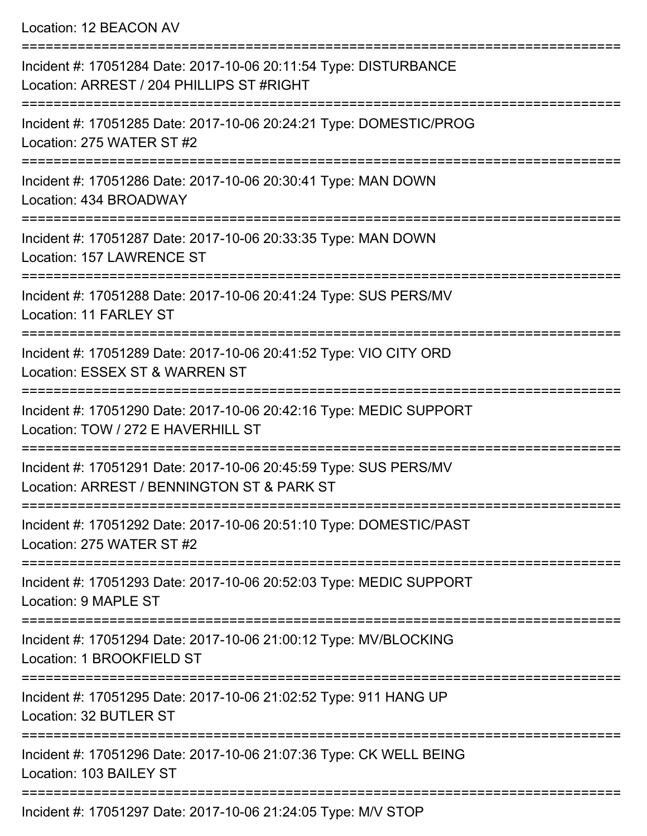Location: 12 BEACON AV

| Incident #: 17051284 Date: 2017-10-06 20:11:54 Type: DISTURBANCE<br>Location: ARREST / 204 PHILLIPS ST #RIGHT  |
|----------------------------------------------------------------------------------------------------------------|
| Incident #: 17051285 Date: 2017-10-06 20:24:21 Type: DOMESTIC/PROG<br>Location: 275 WATER ST #2                |
| Incident #: 17051286 Date: 2017-10-06 20:30:41 Type: MAN DOWN<br>Location: 434 BROADWAY                        |
| Incident #: 17051287 Date: 2017-10-06 20:33:35 Type: MAN DOWN<br>Location: 157 LAWRENCE ST                     |
| Incident #: 17051288 Date: 2017-10-06 20:41:24 Type: SUS PERS/MV<br>Location: 11 FARLEY ST                     |
| Incident #: 17051289 Date: 2017-10-06 20:41:52 Type: VIO CITY ORD<br>Location: ESSEX ST & WARREN ST            |
| Incident #: 17051290 Date: 2017-10-06 20:42:16 Type: MEDIC SUPPORT<br>Location: TOW / 272 E HAVERHILL ST       |
| Incident #: 17051291 Date: 2017-10-06 20:45:59 Type: SUS PERS/MV<br>Location: ARREST / BENNINGTON ST & PARK ST |
| Incident #: 17051292 Date: 2017-10-06 20:51:10 Type: DOMESTIC/PAST<br>Location: 275 WATER ST #2                |
| Incident #: 17051293 Date: 2017-10-06 20:52:03 Type: MEDIC SUPPORT<br>Location: 9 MAPLE ST                     |
| Incident #: 17051294 Date: 2017-10-06 21:00:12 Type: MV/BLOCKING<br>Location: 1 BROOKFIELD ST                  |
| Incident #: 17051295 Date: 2017-10-06 21:02:52 Type: 911 HANG UP<br>Location: 32 BUTLER ST                     |
| Incident #: 17051296 Date: 2017-10-06 21:07:36 Type: CK WELL BEING<br>Location: 103 BAILEY ST                  |
| Incident #: 17051297 Date: 2017-10-06 21:24:05 Type: M/V STOP                                                  |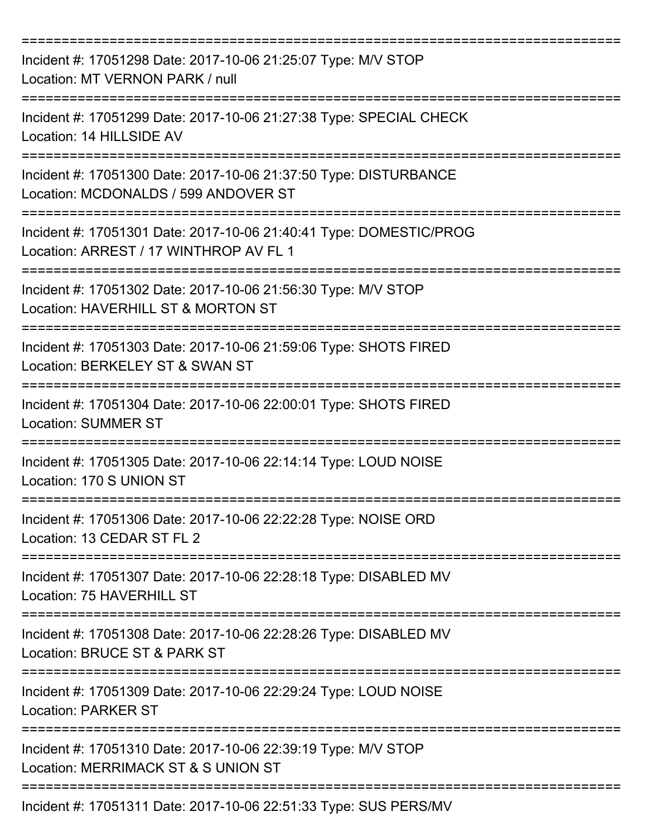| Incident #: 17051298 Date: 2017-10-06 21:25:07 Type: M/V STOP<br>Location: MT VERNON PARK / null             |
|--------------------------------------------------------------------------------------------------------------|
| Incident #: 17051299 Date: 2017-10-06 21:27:38 Type: SPECIAL CHECK<br>Location: 14 HILLSIDE AV               |
| Incident #: 17051300 Date: 2017-10-06 21:37:50 Type: DISTURBANCE<br>Location: MCDONALDS / 599 ANDOVER ST     |
| Incident #: 17051301 Date: 2017-10-06 21:40:41 Type: DOMESTIC/PROG<br>Location: ARREST / 17 WINTHROP AV FL 1 |
| Incident #: 17051302 Date: 2017-10-06 21:56:30 Type: M/V STOP<br>Location: HAVERHILL ST & MORTON ST          |
| Incident #: 17051303 Date: 2017-10-06 21:59:06 Type: SHOTS FIRED<br>Location: BERKELEY ST & SWAN ST          |
| Incident #: 17051304 Date: 2017-10-06 22:00:01 Type: SHOTS FIRED<br><b>Location: SUMMER ST</b>               |
| Incident #: 17051305 Date: 2017-10-06 22:14:14 Type: LOUD NOISE<br>Location: 170 S UNION ST                  |
| Incident #: 17051306 Date: 2017-10-06 22:22:28 Type: NOISE ORD<br>Location: 13 CEDAR ST FL 2                 |
| Incident #: 17051307 Date: 2017-10-06 22:28:18 Type: DISABLED MV<br>Location: 75 HAVERHILL ST                |
| Incident #: 17051308 Date: 2017-10-06 22:28:26 Type: DISABLED MV<br>Location: BRUCE ST & PARK ST             |
| Incident #: 17051309 Date: 2017-10-06 22:29:24 Type: LOUD NOISE<br><b>Location: PARKER ST</b>                |
| Incident #: 17051310 Date: 2017-10-06 22:39:19 Type: M/V STOP<br>Location: MERRIMACK ST & S UNION ST         |
| Incident #: 17051311 Date: 2017-10-06 22:51:33 Type: SUS PERS/MV                                             |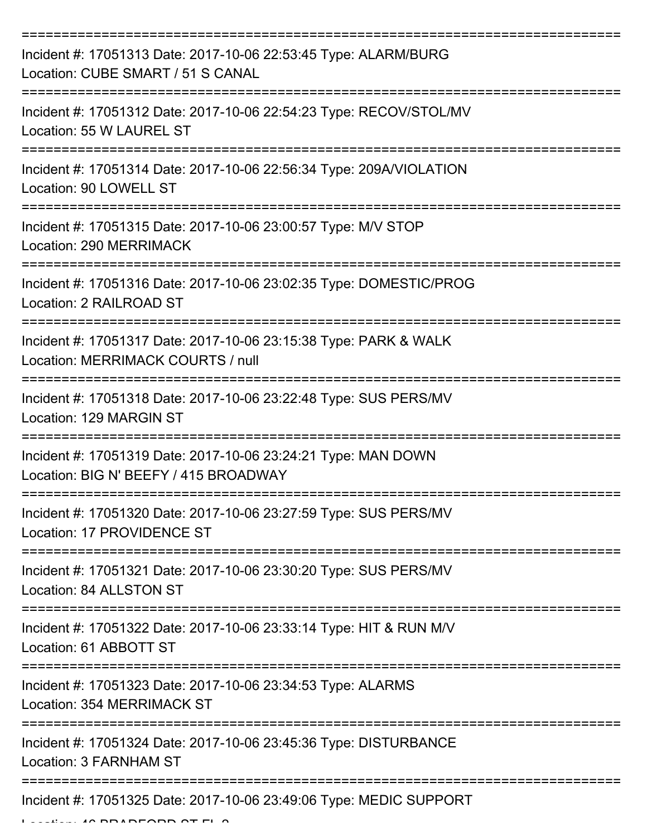| Incident #: 17051313 Date: 2017-10-06 22:53:45 Type: ALARM/BURG<br>Location: CUBE SMART / 51 S CANAL                        |
|-----------------------------------------------------------------------------------------------------------------------------|
| Incident #: 17051312 Date: 2017-10-06 22:54:23 Type: RECOV/STOL/MV<br>Location: 55 W LAUREL ST                              |
| Incident #: 17051314 Date: 2017-10-06 22:56:34 Type: 209A/VIOLATION<br>Location: 90 LOWELL ST                               |
| Incident #: 17051315 Date: 2017-10-06 23:00:57 Type: M/V STOP<br>Location: 290 MERRIMACK                                    |
| Incident #: 17051316 Date: 2017-10-06 23:02:35 Type: DOMESTIC/PROG<br>Location: 2 RAILROAD ST<br>========================== |
| Incident #: 17051317 Date: 2017-10-06 23:15:38 Type: PARK & WALK<br>Location: MERRIMACK COURTS / null                       |
| Incident #: 17051318 Date: 2017-10-06 23:22:48 Type: SUS PERS/MV<br>Location: 129 MARGIN ST                                 |
| ==========<br>Incident #: 17051319 Date: 2017-10-06 23:24:21 Type: MAN DOWN<br>Location: BIG N' BEEFY / 415 BROADWAY        |
| Incident #: 17051320 Date: 2017-10-06 23:27:59 Type: SUS PERS/MV<br>Location: 17 PROVIDENCE ST                              |
| Incident #: 17051321 Date: 2017-10-06 23:30:20 Type: SUS PERS/MV<br>Location: 84 ALLSTON ST                                 |
| Incident #: 17051322 Date: 2017-10-06 23:33:14 Type: HIT & RUN M/V<br>Location: 61 ABBOTT ST                                |
| Incident #: 17051323 Date: 2017-10-06 23:34:53 Type: ALARMS<br><b>Location: 354 MERRIMACK ST</b>                            |
| Incident #: 17051324 Date: 2017-10-06 23:45:36 Type: DISTURBANCE<br>Location: 3 FARNHAM ST                                  |
| Incident #: 17051325 Date: 2017-10-06 23:49:06 Type: MEDIC SUPPORT                                                          |